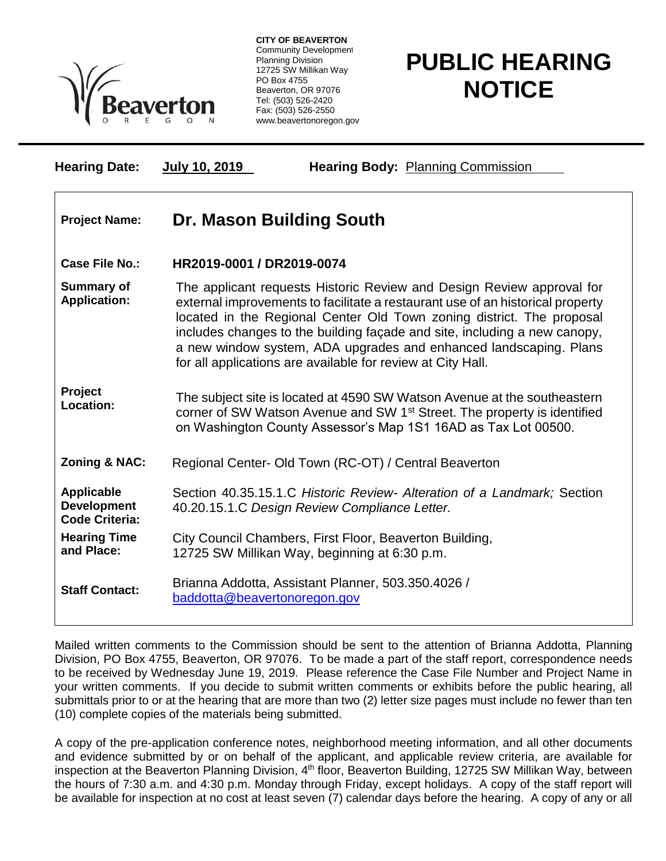

**CITY OF BEAVERTON** Community Development Planning Division 12725 SW Millikan Way PO Box 4755 Beaverton, OR 97076 Tel: (503) 526-2420 Fax: (503) 526-2550 www.beavertonoregon.gov

## **PUBLIC HEARING NOTICE**

| <b>Hearing Date:</b>                                             | July 10, 2019<br><b>Hearing Body: Planning Commission</b>                                                                                                                                                                                                                                                                                                                                                                                         |
|------------------------------------------------------------------|---------------------------------------------------------------------------------------------------------------------------------------------------------------------------------------------------------------------------------------------------------------------------------------------------------------------------------------------------------------------------------------------------------------------------------------------------|
| <b>Project Name:</b>                                             | Dr. Mason Building South                                                                                                                                                                                                                                                                                                                                                                                                                          |
| <b>Case File No.:</b>                                            | HR2019-0001 / DR2019-0074                                                                                                                                                                                                                                                                                                                                                                                                                         |
| <b>Summary of</b><br><b>Application:</b>                         | The applicant requests Historic Review and Design Review approval for<br>external improvements to facilitate a restaurant use of an historical property<br>located in the Regional Center Old Town zoning district. The proposal<br>includes changes to the building façade and site, including a new canopy,<br>a new window system, ADA upgrades and enhanced landscaping. Plans<br>for all applications are available for review at City Hall. |
| Project<br>Location:                                             | The subject site is located at 4590 SW Watson Avenue at the southeastern<br>corner of SW Watson Avenue and SW 1 <sup>st</sup> Street. The property is identified<br>on Washington County Assessor's Map 1S1 16AD as Tax Lot 00500.                                                                                                                                                                                                                |
| <b>Zoning &amp; NAC:</b>                                         | Regional Center- Old Town (RC-OT) / Central Beaverton                                                                                                                                                                                                                                                                                                                                                                                             |
| <b>Applicable</b><br><b>Development</b><br><b>Code Criteria:</b> | Section 40.35.15.1.C Historic Review- Alteration of a Landmark; Section<br>40.20.15.1.C Design Review Compliance Letter.                                                                                                                                                                                                                                                                                                                          |
| <b>Hearing Time</b><br>and Place:                                | City Council Chambers, First Floor, Beaverton Building,<br>12725 SW Millikan Way, beginning at 6:30 p.m.                                                                                                                                                                                                                                                                                                                                          |
| <b>Staff Contact:</b>                                            | Brianna Addotta, Assistant Planner, 503.350.4026 /<br>baddotta@beavertonoregon.gov                                                                                                                                                                                                                                                                                                                                                                |

Mailed written comments to the Commission should be sent to the attention of Brianna Addotta, Planning Division, PO Box 4755, Beaverton, OR 97076. To be made a part of the staff report, correspondence needs to be received by Wednesday June 19, 2019. Please reference the Case File Number and Project Name in your written comments. If you decide to submit written comments or exhibits before the public hearing, all submittals prior to or at the hearing that are more than two (2) letter size pages must include no fewer than ten (10) complete copies of the materials being submitted.

A copy of the pre-application conference notes, neighborhood meeting information, and all other documents and evidence submitted by or on behalf of the applicant, and applicable review criteria, are available for inspection at the Beaverton Planning Division, 4<sup>th</sup> floor, Beaverton Building, 12725 SW Millikan Way, between the hours of 7:30 a.m. and 4:30 p.m. Monday through Friday, except holidays. A copy of the staff report will be available for inspection at no cost at least seven (7) calendar days before the hearing. A copy of any or all